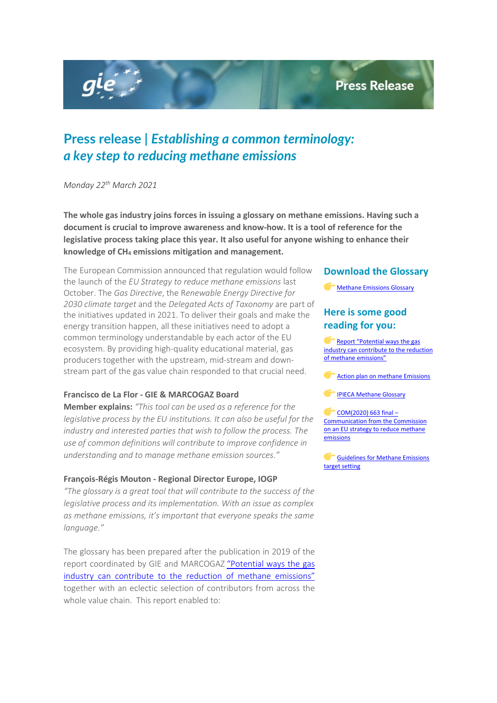## **Press Release**

# **Press release |** *Establishing a common terminology: a key step to reducing methane emissions*

*Monday 22th March 2021*

gle

**The whole gas industry joins forces in issuing a glossary on methane emissions. Having such a document is crucial to improve awareness and know-how. It is a tool of reference for the legislative process taking place this year. It also useful for anyone wishing to enhance their knowledge of CH4 emissions mitigation and management.**

The European Commission announced that regulation would follow the launch of the *EU Strategy to reduce methane emissions* last October. The *Gas Directive*, the R*enewable Energy Directive for 2030 climate target* and the *Delegated Acts of Taxonomy* are part of the initiatives updated in 2021. To deliver their goals and make the energy transition happen, all these initiatives need to adopt a common terminology understandable by each actor of the EU ecosystem. By providing high-quality educational material, gas producers together with the upstream, mid-stream and downstream part of the gas value chain responded to that crucial need.

#### **Francisco de La Flor - GIE & MARCOGAZ Board**

**Member explains:** *"This tool can be used as a reference for the legislative process by the EU institutions. It can also be useful for the industry and interested parties that wish to follow the process. The use of common definitions will contribute to improve confidence in understanding and to manage methane emission sources."*

#### **François-Régis Mouton - Regional Director Europe, IOGP**

*"The glossary is a great tool that will contribute to the success of the legislative process and its implementation. With an issue as complex as methane emissions, it's important that everyone speaks the same language."*

The glossary has been prepared after the publication in 2019 of the report coordinated by GIE and MARCOGAZ ["Potential ways the gas](https://www.gie.eu/index.php/gie-publications/methane-emissions/methane-emission-report-2019/27786-gie-marcogaz-report-for-the-madrid-forum-potential-way-gas-industry-can-contribute-to-the-reduction-of-methane-emissions/file)  [industry can contribute to the reduction of methane emissions"](https://www.gie.eu/index.php/gie-publications/methane-emissions/methane-emission-report-2019/27786-gie-marcogaz-report-for-the-madrid-forum-potential-way-gas-industry-can-contribute-to-the-reduction-of-methane-emissions/file) together with an eclectic selection of contributors from across the whole value chain. This report enabled to:

#### **Download the Glossary**

[Methane Emissions Glossary](https://www.gie.eu/index.php/gie-publications/methane-emissions/methane-emission-guidelines/28725-methane-emissions-glossary/file)

## **Here is some good reading for you:**

[Report "Potential ways the gas](https://www.gie.eu/index.php/gie-publications/methane-emissions/methane-emission-report-2019/27786-gie-marcogaz-report-for-the-madrid-forum-potential-way-gas-industry-can-contribute-to-the-reduction-of-methane-emissions/file)  [industry can contribute to the reduction](https://www.gie.eu/index.php/gie-publications/methane-emissions/methane-emission-report-2019/27786-gie-marcogaz-report-for-the-madrid-forum-potential-way-gas-industry-can-contribute-to-the-reduction-of-methane-emissions/file)  [of methane emissions"](https://www.gie.eu/index.php/gie-publications/methane-emissions/methane-emission-report-2019/27786-gie-marcogaz-report-for-the-madrid-forum-potential-way-gas-industry-can-contribute-to-the-reduction-of-methane-emissions/file)

[Action plan on methane Emissions](https://www.gie.eu/index.php/gie-publications/methane-emissions/methane-emission-action-plan/28053-action-plan-methane-emissions/file)

[IPIECA Methane Glossary](http://www.ipieca.org/resources/awareness-briefing/methane-glossary/) 

[COM\(2020\) 663 final –](https://ec.europa.eu/commission/presscorner/detail/en/ip_20_1833)  [Communication from the Commission](https://ec.europa.eu/commission/presscorner/detail/en/ip_20_1833)  [on an EU strategy to reduce methane](https://ec.europa.eu/commission/presscorner/detail/en/ip_20_1833)  [emissions](https://ec.europa.eu/commission/presscorner/detail/en/ip_20_1833)

**Guidelines for Methane Emissions** [target setting](https://www.gie.eu/index.php/gie-publications/methane-emissions/methane-emission-guidelines/28274-guidelines-for-methane-emissions-target-setting/file)